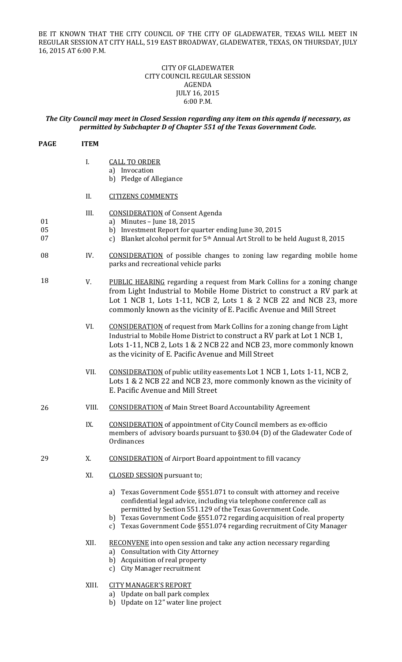BE IT KNOWN THAT THE CITY COUNCIL OF THE CITY OF GLADEWATER, TEXAS WILL MEET IN REGULAR SESSION AT CITY HALL, 519 EAST BROADWAY, GLADEWATER, TEXAS, ON THURSDAY, JULY 16, 2015 AT 6:00 P.M.

## CITY OF GLADEWATER CITY COUNCIL REGULAR SESSION AGENDA JULY 16, 2015 6:00 P.M.

## *The City Council may meet in Closed Session regarding any item on this agenda if necessary, as permitted by Subchapter D of Chapter 551 of the Texas Government Code.*

| <b>PAGE</b>    | <b>ITEM</b> |                                                                                                                                                                                                                                                                                                                                                                      |
|----------------|-------------|----------------------------------------------------------------------------------------------------------------------------------------------------------------------------------------------------------------------------------------------------------------------------------------------------------------------------------------------------------------------|
|                | I.          | <b>CALL TO ORDER</b><br>a) Invocation<br>b) Pledge of Allegiance                                                                                                                                                                                                                                                                                                     |
|                | II.         | <b>CITIZENS COMMENTS</b>                                                                                                                                                                                                                                                                                                                                             |
| 01<br>05<br>07 | III.        | <b>CONSIDERATION</b> of Consent Agenda<br>a) Minutes - June 18, 2015<br>b) Investment Report for quarter ending June 30, 2015<br>c) Blanket alcohol permit for 5 <sup>th</sup> Annual Art Stroll to be held August 8, 2015                                                                                                                                           |
| 08             | IV.         | <b>CONSIDERATION</b> of possible changes to zoning law regarding mobile home<br>parks and recreational vehicle parks                                                                                                                                                                                                                                                 |
| 18             | V.          | <b>PUBLIC HEARING</b> regarding a request from Mark Collins for a zoning change<br>from Light Industrial to Mobile Home District to construct a RV park at<br>Lot 1 NCB 1, Lots 1-11, NCB 2, Lots 1 & 2 NCB 22 and NCB 23, more<br>commonly known as the vicinity of E. Pacific Avenue and Mill Street                                                               |
|                | VI.         | <b>CONSIDERATION</b> of request from Mark Collins for a zoning change from Light<br>Industrial to Mobile Home District to construct a RV park at Lot 1 NCB 1,<br>Lots 1-11, NCB 2, Lots 1 & 2 NCB 22 and NCB 23, more commonly known<br>as the vicinity of E. Pacific Avenue and Mill Street                                                                         |
|                | VII.        | <b>CONSIDERATION</b> of public utility easements Lot 1 NCB 1, Lots 1-11, NCB 2,<br>Lots 1 & 2 NCB 22 and NCB 23, more commonly known as the vicinity of<br>E. Pacific Avenue and Mill Street                                                                                                                                                                         |
| 26             | VIII.       | <b>CONSIDERATION</b> of Main Street Board Accountability Agreement                                                                                                                                                                                                                                                                                                   |
|                | IX.         | <b>CONSIDERATION</b> of appointment of City Council members as ex-officio<br>members of advisory boards pursuant to §30.04 (D) of the Gladewater Code of<br>Ordinances                                                                                                                                                                                               |
| 29             | X.          | <b>CONSIDERATION</b> of Airport Board appointment to fill vacancy                                                                                                                                                                                                                                                                                                    |
|                | XI.         | <b>CLOSED SESSION</b> pursuant to;                                                                                                                                                                                                                                                                                                                                   |
|                |             | a) Texas Government Code §551.071 to consult with attorney and receive<br>confidential legal advice, including via telephone conference call as<br>permitted by Section 551.129 of the Texas Government Code.<br>b) Texas Government Code §551.072 regarding acquisition of real property<br>c) Texas Government Code §551.074 regarding recruitment of City Manager |
|                | XII.        | <b>RECONVENE</b> into open session and take any action necessary regarding<br>a) Consultation with City Attorney<br>b) Acquisition of real property<br>c) City Manager recruitment                                                                                                                                                                                   |
|                | XIII.       | <b>CITY MANAGER'S REPORT</b><br>a) Update on ball park complex                                                                                                                                                                                                                                                                                                       |

b) Update on 12" water line project